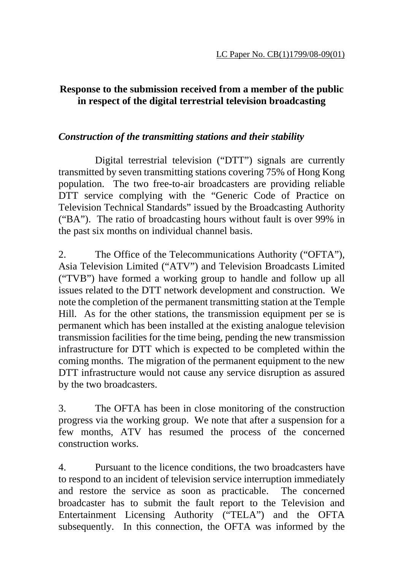## **Response to the submission received from a member of the public in respect of the digital terrestrial television broadcasting**

## *Construction of the transmitting stations and their stability*

 Digital terrestrial television ("DTT") signals are currently transmitted by seven transmitting stations covering 75% of Hong Kong population. The two free-to-air broadcasters are providing reliable DTT service complying with the "Generic Code of Practice on Television Technical Standards" issued by the Broadcasting Authority ("BA"). The ratio of broadcasting hours without fault is over 99% in the past six months on individual channel basis.

2. The Office of the Telecommunications Authority ("OFTA"), Asia Television Limited ("ATV") and Television Broadcasts Limited ("TVB") have formed a working group to handle and follow up all issues related to the DTT network development and construction. We note the completion of the permanent transmitting station at the Temple Hill. As for the other stations, the transmission equipment per se is permanent which has been installed at the existing analogue television transmission facilities for the time being, pending the new transmission infrastructure for DTT which is expected to be completed within the coming months. The migration of the permanent equipment to the new DTT infrastructure would not cause any service disruption as assured by the two broadcasters.

3. The OFTA has been in close monitoring of the construction progress via the working group. We note that after a suspension for a few months, ATV has resumed the process of the concerned construction works.

4. Pursuant to the licence conditions, the two broadcasters have to respond to an incident of television service interruption immediately and restore the service as soon as practicable. The concerned broadcaster has to submit the fault report to the Television and Entertainment Licensing Authority ("TELA") and the OFTA subsequently. In this connection, the OFTA was informed by the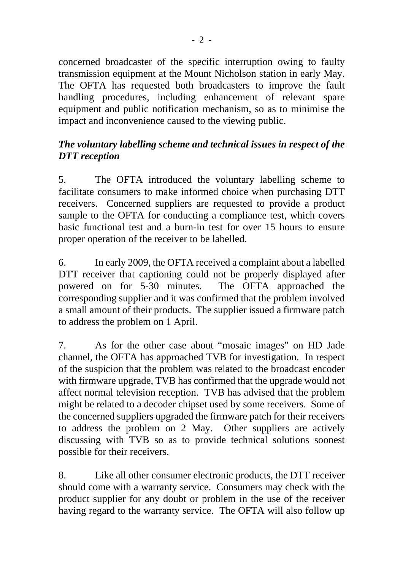concerned broadcaster of the specific interruption owing to faulty transmission equipment at the Mount Nicholson station in early May. The OFTA has requested both broadcasters to improve the fault handling procedures, including enhancement of relevant spare equipment and public notification mechanism, so as to minimise the impact and inconvenience caused to the viewing public.

## *The voluntary labelling scheme and technical issues in respect of the DTT reception*

5. The OFTA introduced the voluntary labelling scheme to facilitate consumers to make informed choice when purchasing DTT receivers. Concerned suppliers are requested to provide a product sample to the OFTA for conducting a compliance test, which covers basic functional test and a burn-in test for over 15 hours to ensure proper operation of the receiver to be labelled.

6. In early 2009, the OFTA received a complaint about a labelled DTT receiver that captioning could not be properly displayed after powered on for 5-30 minutes. The OFTA approached the corresponding supplier and it was confirmed that the problem involved a small amount of their products. The supplier issued a firmware patch to address the problem on 1 April.

7. As for the other case about "mosaic images" on HD Jade channel, the OFTA has approached TVB for investigation. In respect of the suspicion that the problem was related to the broadcast encoder with firmware upgrade, TVB has confirmed that the upgrade would not affect normal television reception. TVB has advised that the problem might be related to a decoder chipset used by some receivers. Some of the concerned suppliers upgraded the firmware patch for their receivers to address the problem on 2 May. Other suppliers are actively discussing with TVB so as to provide technical solutions soonest possible for their receivers.

8. Like all other consumer electronic products, the DTT receiver should come with a warranty service. Consumers may check with the product supplier for any doubt or problem in the use of the receiver having regard to the warranty service. The OFTA will also follow up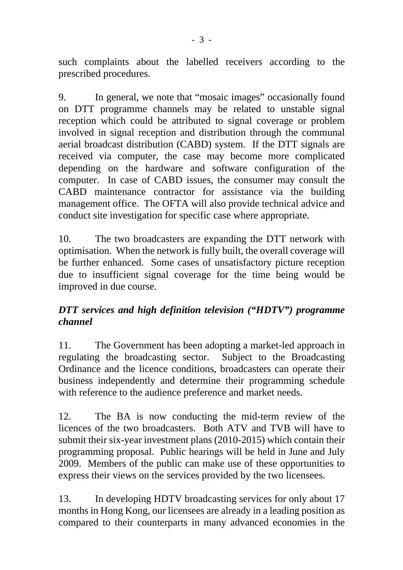such complaints about the labelled receivers according to the prescribed procedures.

9. In general, we note that "mosaic images" occasionally found on DTT programme channels may be related to unstable signal reception which could be attributed to signal coverage or problem involved in signal reception and distribution through the communal aerial broadcast distribution (CABD) system. If the DTT signals are received via computer, the case may become more complicated depending on the hardware and software configuration of the computer. In case of CABD issues, the consumer may consult the CABD maintenance contractor for assistance via the building management office. The OFTA will also provide technical advice and conduct site investigation for specific case where appropriate.

10. The two broadcasters are expanding the DTT network with optimisation. When the network is fully built, the overall coverage will be further enhanced. Some cases of unsatisfactory picture reception due to insufficient signal coverage for the time being would be improved in due course.

## *DTT services and high definition television ("HDTV") programme channel*

11. The Government has been adopting a market-led approach in regulating the broadcasting sector. Subject to the Broadcasting Ordinance and the licence conditions, broadcasters can operate their business independently and determine their programming schedule with reference to the audience preference and market needs.

12. The BA is now conducting the mid-term review of the licences of the two broadcasters. Both ATV and TVB will have to submit their six-year investment plans (2010-2015) which contain their programming proposal. Public hearings will be held in June and July 2009. Members of the public can make use of these opportunities to express their views on the services provided by the two licensees.

13. In developing HDTV broadcasting services for only about 17 months in Hong Kong, our licensees are already in a leading position as compared to their counterparts in many advanced economies in the